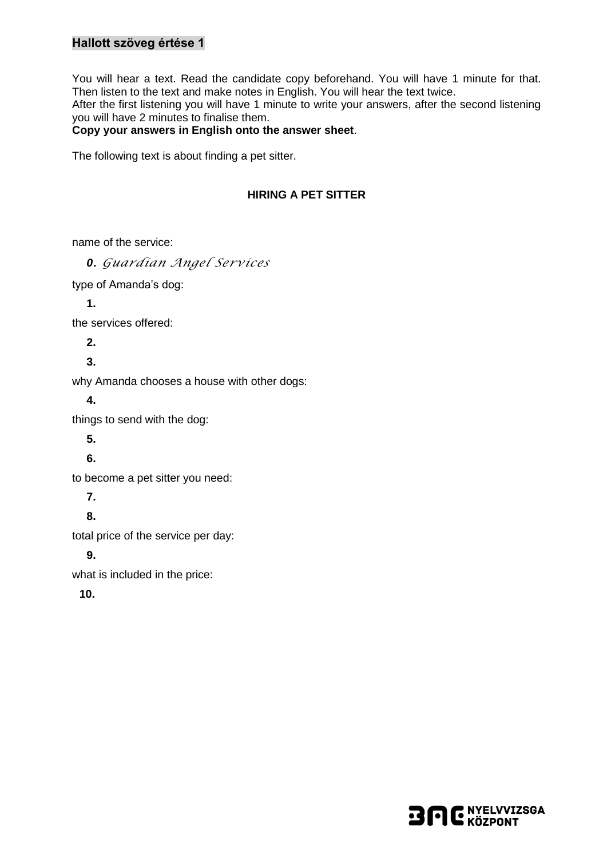## **Hallott szöveg értése 1**

You will hear a text. Read the candidate copy beforehand. You will have 1 minute for that. Then listen to the text and make notes in English. You will hear the text twice.

After the first listening you will have 1 minute to write your answers, after the second listening you will have 2 minutes to finalise them.

#### **Copy your answers in English onto the answer sheet**.

The following text is about finding a pet sitter.

### **HIRING A PET SITTER**

name of the service:

*0. Guardian Angel Services* type of Amanda's dog: **1.** the services offered: **2. 3.** why Amanda chooses a house with other dogs: **4.** things to send with the dog: **5. 6.** to become a pet sitter you need: **7. 8.** total price of the service per day: **9.** what is included in the price: **10.**